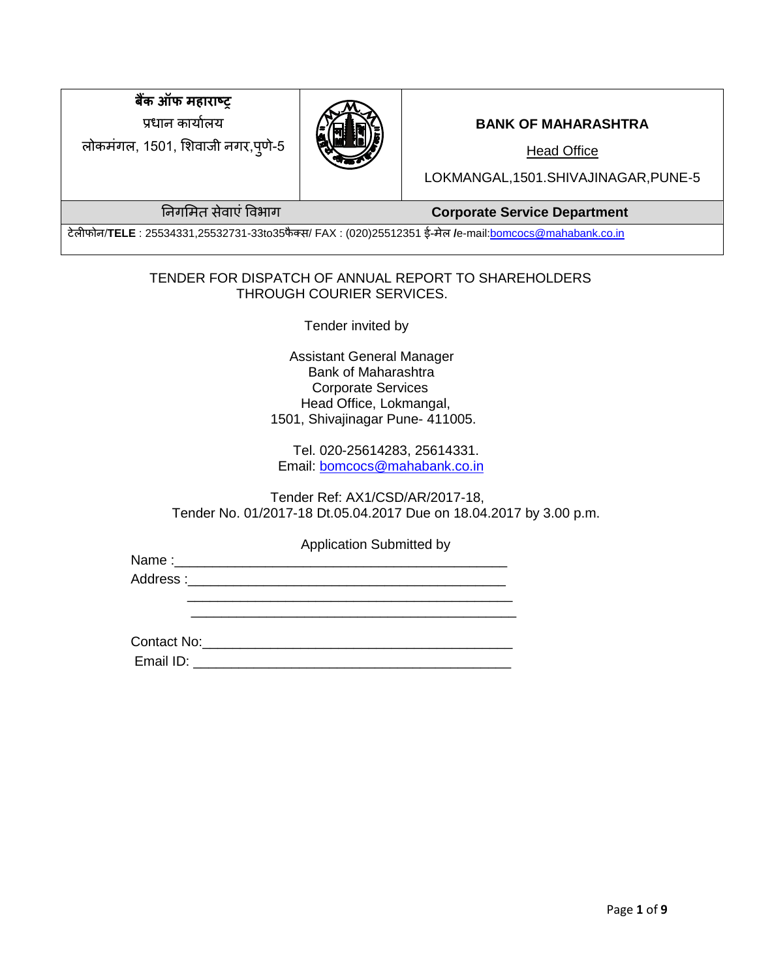**बैंक ऑफ महाराष्ट्र** प्रधान कार्यालय

लोकमंगल, 1501, शिवाजी नगर,पूर्ण-5



### **BANK OF MAHARASHTRA**

Head Office

LOKMANGAL,1501.SHIVAJINAGAR,PUNE-5

ननगशमत सेवाएंववभाग **Corporate Service Department**

टेलीफोन/**TELE** : 25534331,25532731-33to35फै क्स/ FAX : (020)25512351 ई-मेल **/**e-mai[l:bomcocs@mahabank.co.in](mailto:bomcocs@mahabank.co.in)

### TENDER FOR DISPATCH OF ANNUAL REPORT TO SHAREHOLDERS THROUGH COURIER SERVICES.

Tender invited by

 Assistant General Manager Bank of Maharashtra Corporate Services Head Office, Lokmangal, 1501, Shivajinagar Pune- 411005.

 Tel. 020-25614283, 25614331. Email: [bomcocs@mahabank.co.in](mailto:bomcocs@mahabank.co.in)

 Tender Ref: AX1/CSD/AR/2017-18, Tender No. 01/2017-18 Dt.05.04.2017 Due on 18.04.2017 by 3.00 p.m.

Application Submitted by

Name : Address :\_\_\_\_\_\_\_\_\_\_\_\_\_\_\_\_\_\_\_\_\_\_\_\_\_\_\_\_\_\_\_\_\_\_\_\_\_\_\_\_\_\_

Contact No:\_\_\_\_\_\_\_\_\_\_\_\_\_\_\_\_\_\_\_\_\_\_\_\_\_\_\_\_\_\_\_\_\_\_\_\_\_\_\_\_\_

Email ID: \_\_\_\_\_\_\_\_\_\_\_\_\_\_\_\_\_\_\_\_\_\_\_\_\_\_\_\_\_\_\_\_\_\_\_\_\_\_\_\_\_\_

 $\overline{\phantom{a}}$  ,  $\overline{\phantom{a}}$  ,  $\overline{\phantom{a}}$  ,  $\overline{\phantom{a}}$  ,  $\overline{\phantom{a}}$  ,  $\overline{\phantom{a}}$  ,  $\overline{\phantom{a}}$  ,  $\overline{\phantom{a}}$  ,  $\overline{\phantom{a}}$  ,  $\overline{\phantom{a}}$  ,  $\overline{\phantom{a}}$  ,  $\overline{\phantom{a}}$  ,  $\overline{\phantom{a}}$  ,  $\overline{\phantom{a}}$  ,  $\overline{\phantom{a}}$  ,  $\overline{\phantom{a}}$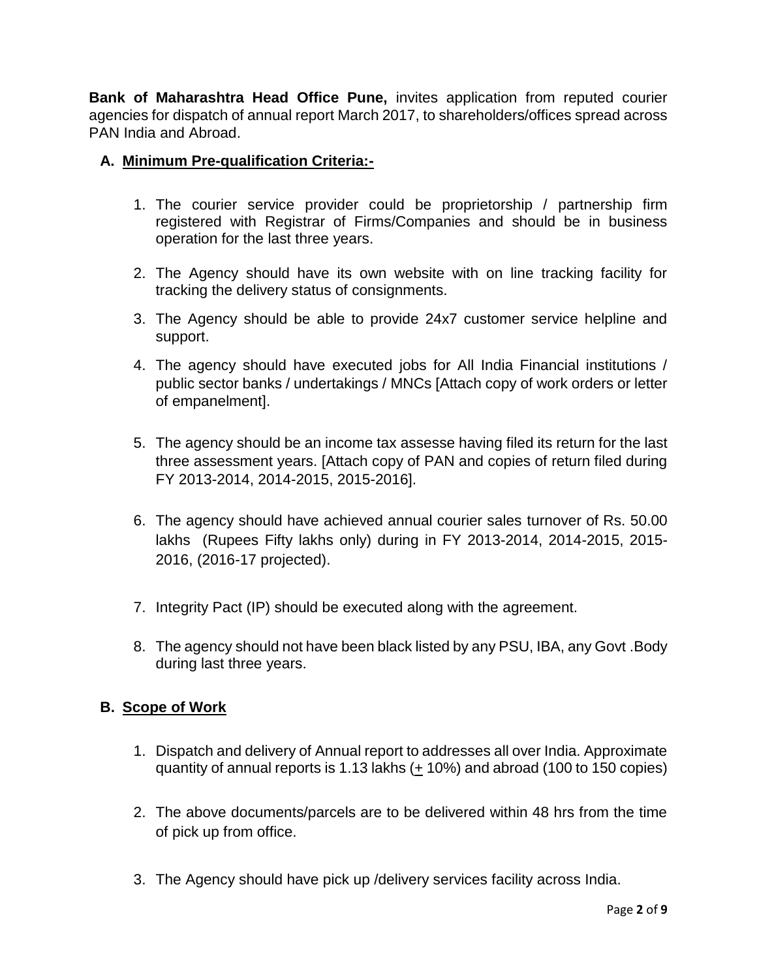**Bank of Maharashtra Head Office Pune,** invites application from reputed courier agencies for dispatch of annual report March 2017, to shareholders/offices spread across PAN India and Abroad.

# **A. Minimum Pre-qualification Criteria:-**

- 1. The courier service provider could be proprietorship / partnership firm registered with Registrar of Firms/Companies and should be in business operation for the last three years.
- 2. The Agency should have its own website with on line tracking facility for tracking the delivery status of consignments.
- 3. The Agency should be able to provide 24x7 customer service helpline and support.
- 4. The agency should have executed jobs for All India Financial institutions / public sector banks / undertakings / MNCs [Attach copy of work orders or letter of empanelment].
- 5. The agency should be an income tax assesse having filed its return for the last three assessment years. [Attach copy of PAN and copies of return filed during FY 2013-2014, 2014-2015, 2015-2016].
- 6. The agency should have achieved annual courier sales turnover of Rs. 50.00 lakhs (Rupees Fifty lakhs only) during in FY 2013-2014, 2014-2015, 2015- 2016, (2016-17 projected).
- 7. Integrity Pact (IP) should be executed along with the agreement.
- 8. The agency should not have been black listed by any PSU, IBA, any Govt .Body during last three years.

# **B. Scope of Work**

- 1. Dispatch and delivery of Annual report to addresses all over India. Approximate quantity of annual reports is 1.13 lakhs  $(+10\%)$  and abroad (100 to 150 copies)
- 2. The above documents/parcels are to be delivered within 48 hrs from the time of pick up from office.
- 3. The Agency should have pick up /delivery services facility across India.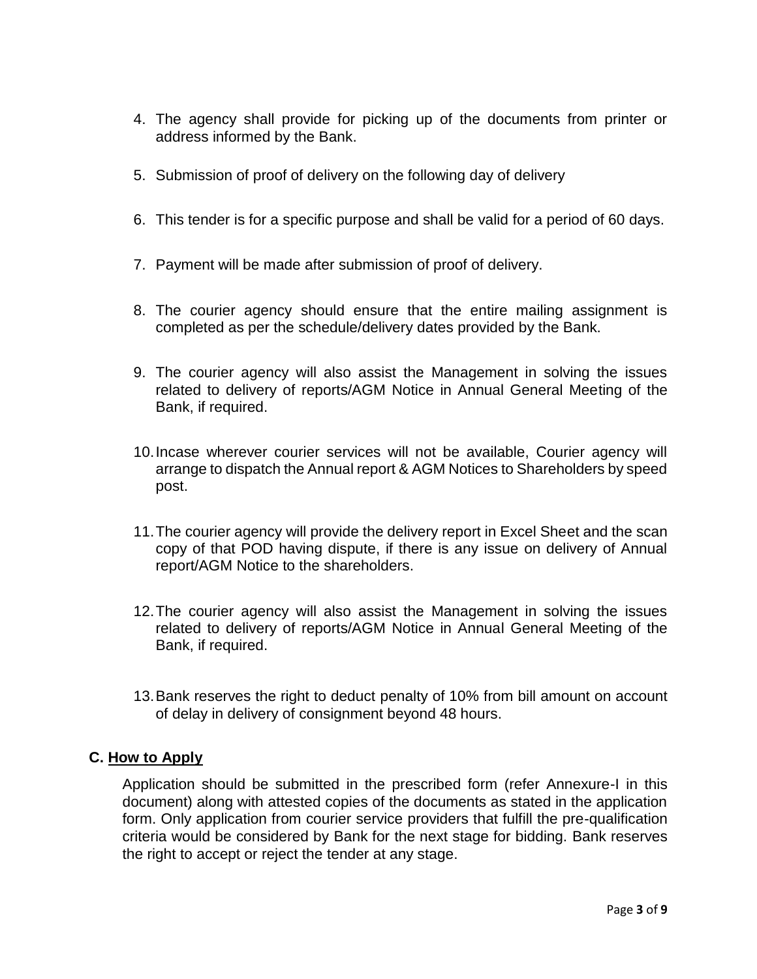- 4. The agency shall provide for picking up of the documents from printer or address informed by the Bank.
- 5. Submission of proof of delivery on the following day of delivery
- 6. This tender is for a specific purpose and shall be valid for a period of 60 days.
- 7. Payment will be made after submission of proof of delivery.
- 8. The courier agency should ensure that the entire mailing assignment is completed as per the schedule/delivery dates provided by the Bank.
- 9. The courier agency will also assist the Management in solving the issues related to delivery of reports/AGM Notice in Annual General Meeting of the Bank, if required.
- 10.Incase wherever courier services will not be available, Courier agency will arrange to dispatch the Annual report & AGM Notices to Shareholders by speed post.
- 11.The courier agency will provide the delivery report in Excel Sheet and the scan copy of that POD having dispute, if there is any issue on delivery of Annual report/AGM Notice to the shareholders.
- 12.The courier agency will also assist the Management in solving the issues related to delivery of reports/AGM Notice in Annual General Meeting of the Bank, if required.
- 13.Bank reserves the right to deduct penalty of 10% from bill amount on account of delay in delivery of consignment beyond 48 hours.

### **C. How to Apply**

Application should be submitted in the prescribed form (refer Annexure-I in this document) along with attested copies of the documents as stated in the application form. Only application from courier service providers that fulfill the pre-qualification criteria would be considered by Bank for the next stage for bidding. Bank reserves the right to accept or reject the tender at any stage.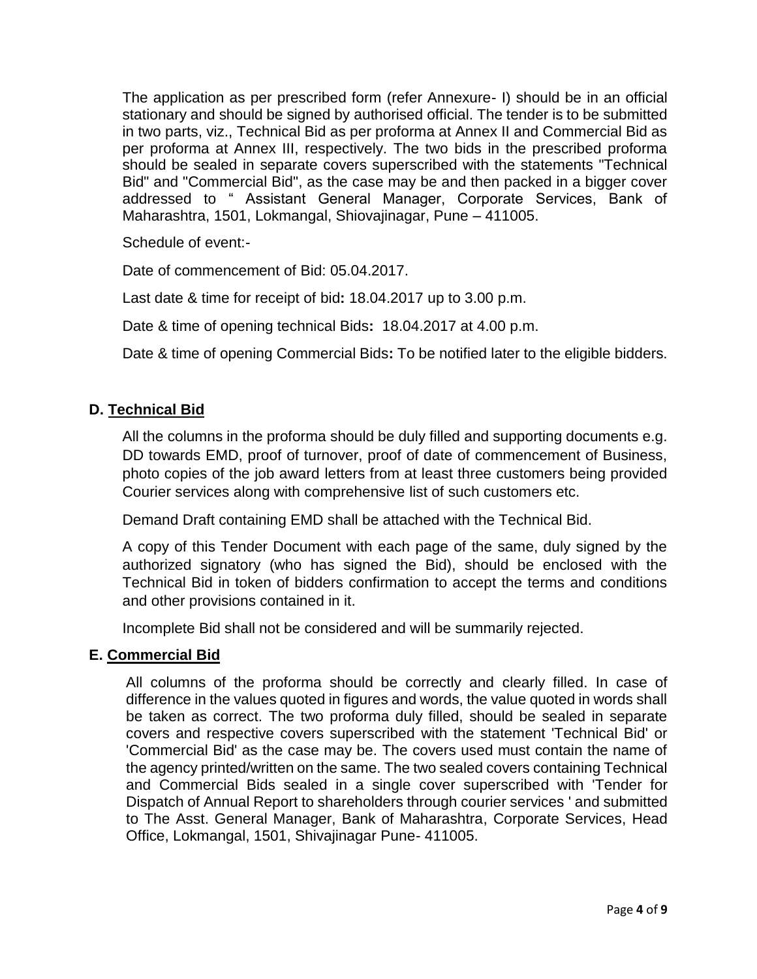The application as per prescribed form (refer Annexure- I) should be in an official stationary and should be signed by authorised official. The tender is to be submitted in two parts, viz., Technical Bid as per proforma at Annex II and Commercial Bid as per proforma at Annex III, respectively. The two bids in the prescribed proforma should be sealed in separate covers superscribed with the statements "Technical Bid" and "Commercial Bid", as the case may be and then packed in a bigger cover addressed to " Assistant General Manager, Corporate Services, Bank of Maharashtra, 1501, Lokmangal, Shiovajinagar, Pune – 411005.

Schedule of event:-

Date of commencement of Bid: 05.04.2017.

Last date & time for receipt of bid**:** 18.04.2017 up to 3.00 p.m.

Date & time of opening technical Bids**:** 18.04.2017 at 4.00 p.m.

Date & time of opening Commercial Bids**:** To be notified later to the eligible bidders.

### **D. Technical Bid**

All the columns in the proforma should be duly filled and supporting documents e.g. DD towards EMD, proof of turnover, proof of date of commencement of Business, photo copies of the job award letters from at least three customers being provided Courier services along with comprehensive list of such customers etc.

Demand Draft containing EMD shall be attached with the Technical Bid.

A copy of this Tender Document with each page of the same, duly signed by the authorized signatory (who has signed the Bid), should be enclosed with the Technical Bid in token of bidders confirmation to accept the terms and conditions and other provisions contained in it.

Incomplete Bid shall not be considered and will be summarily rejected.

#### **E. Commercial Bid**

All columns of the proforma should be correctly and clearly filled. In case of difference in the values quoted in figures and words, the value quoted in words shall be taken as correct. The two proforma duly filled, should be sealed in separate covers and respective covers superscribed with the statement 'Technical Bid' or 'Commercial Bid' as the case may be. The covers used must contain the name of the agency printed/written on the same. The two sealed covers containing Technical and Commercial Bids sealed in a single cover superscribed with 'Tender for Dispatch of Annual Report to shareholders through courier services ' and submitted to The Asst. General Manager, Bank of Maharashtra, Corporate Services, Head Office, Lokmangal, 1501, Shivajinagar Pune- 411005.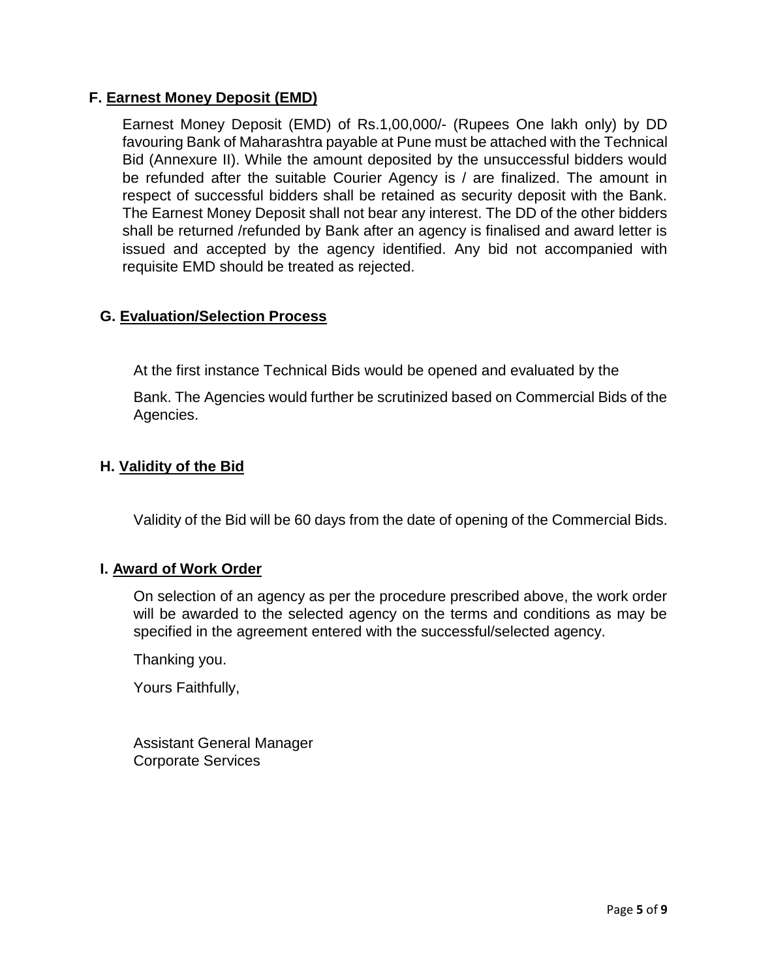### **F. Earnest Money Deposit (EMD)**

Earnest Money Deposit (EMD) of Rs.1,00,000/- (Rupees One lakh only) by DD favouring Bank of Maharashtra payable at Pune must be attached with the Technical Bid (Annexure II). While the amount deposited by the unsuccessful bidders would be refunded after the suitable Courier Agency is / are finalized. The amount in respect of successful bidders shall be retained as security deposit with the Bank. The Earnest Money Deposit shall not bear any interest. The DD of the other bidders shall be returned /refunded by Bank after an agency is finalised and award letter is issued and accepted by the agency identified. Any bid not accompanied with requisite EMD should be treated as rejected.

### **G. Evaluation/Selection Process**

At the first instance Technical Bids would be opened and evaluated by the

Bank. The Agencies would further be scrutinized based on Commercial Bids of the Agencies.

### **H. Validity of the Bid**

Validity of the Bid will be 60 days from the date of opening of the Commercial Bids.

#### **I. Award of Work Order**

On selection of an agency as per the procedure prescribed above, the work order will be awarded to the selected agency on the terms and conditions as may be specified in the agreement entered with the successful/selected agency.

Thanking you.

Yours Faithfully,

Assistant General Manager Corporate Services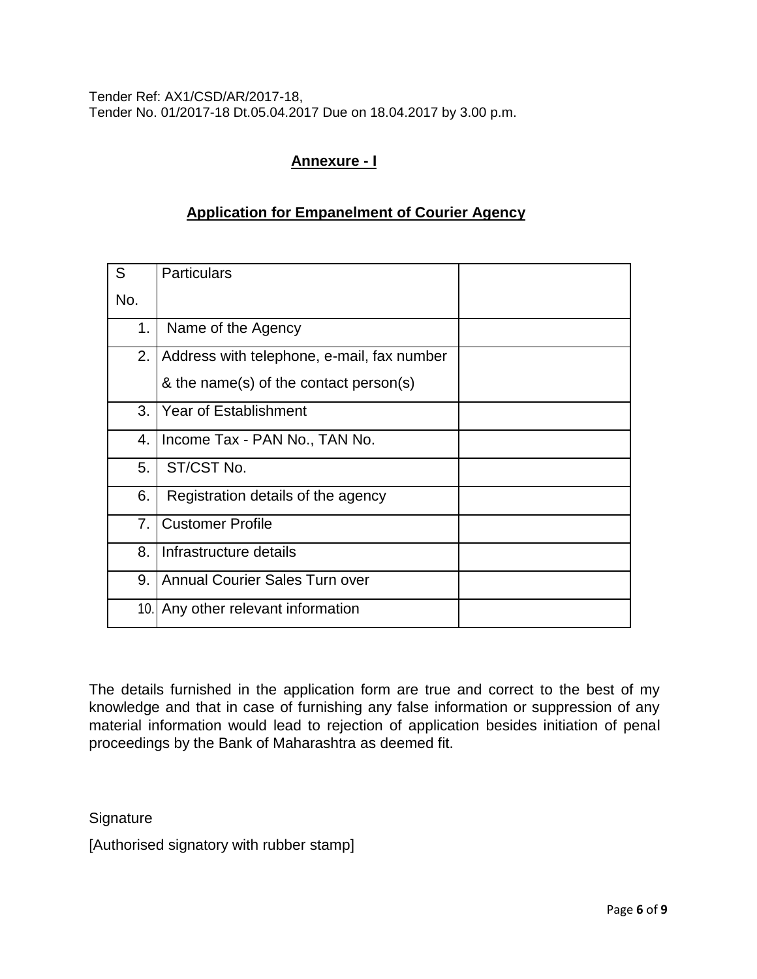Tender Ref: AX1/CSD/AR/2017-18, Tender No. 01/2017-18 Dt.05.04.2017 Due on 18.04.2017 by 3.00 p.m.

# **Annexure - I**

## **Application for Empanelment of Courier Agency**

| S   | <b>Particulars</b>                         |  |
|-----|--------------------------------------------|--|
| No. |                                            |  |
| 1.  | Name of the Agency                         |  |
| 2.  | Address with telephone, e-mail, fax number |  |
|     | & the name(s) of the contact person(s)     |  |
| 3.  | <b>Year of Establishment</b>               |  |
| 4.  | Income Tax - PAN No., TAN No.              |  |
| 5.  | ST/CST No.                                 |  |
| 6.  | Registration details of the agency         |  |
| 7.  | <b>Customer Profile</b>                    |  |
| 8.  | Infrastructure details                     |  |
| 9.  | <b>Annual Courier Sales Turn over</b>      |  |
| 10. | Any other relevant information             |  |

The details furnished in the application form are true and correct to the best of my knowledge and that in case of furnishing any false information or suppression of any material information would lead to rejection of application besides initiation of penal proceedings by the Bank of Maharashtra as deemed fit.

**Signature** 

[Authorised signatory with rubber stamp]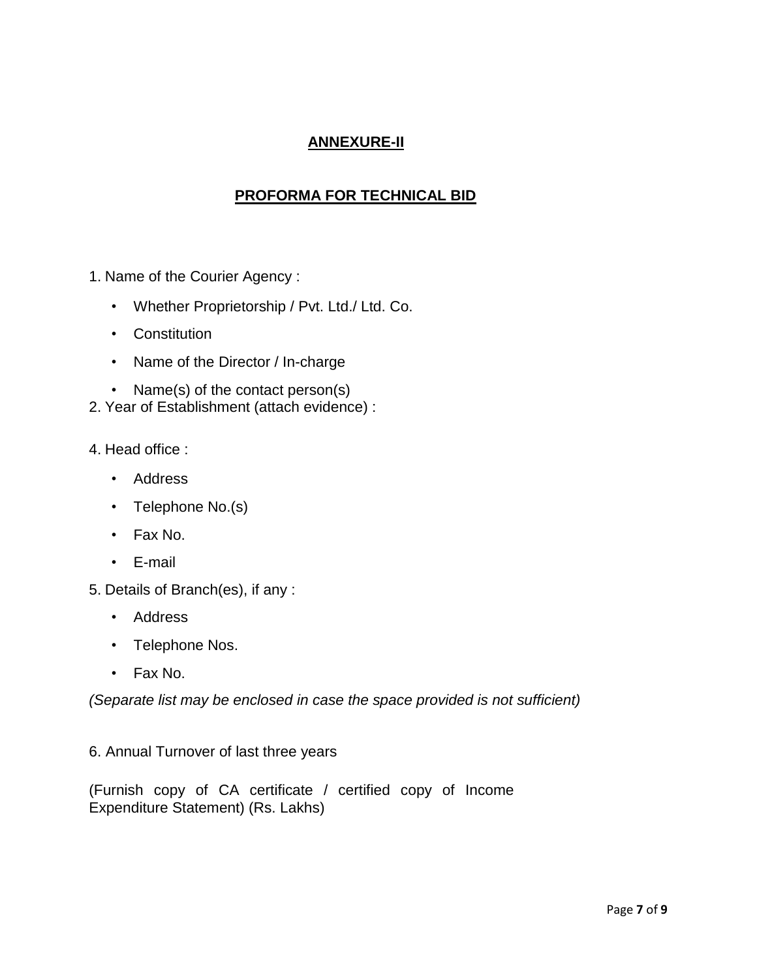# **ANNEXURE-II**

# **PROFORMA FOR TECHNICAL BID**

- 1. Name of the Courier Agency :
	- Whether Proprietorship / Pvt. Ltd./ Ltd. Co.
	- Constitution
	- Name of the Director / In-charge
	- Name(s) of the contact person(s)
- 2. Year of Establishment (attach evidence) :
- 4. Head office :
	- Address
	- Telephone No.(s)
	- Fax No.
	- E-mail
- 5. Details of Branch(es), if any :
	- Address
	- Telephone Nos.
	- Fax No.

*(Separate list may be enclosed in case the space provided is not sufficient)*

6. Annual Turnover of last three years

(Furnish copy of CA certificate / certified copy of Income Expenditure Statement) (Rs. Lakhs)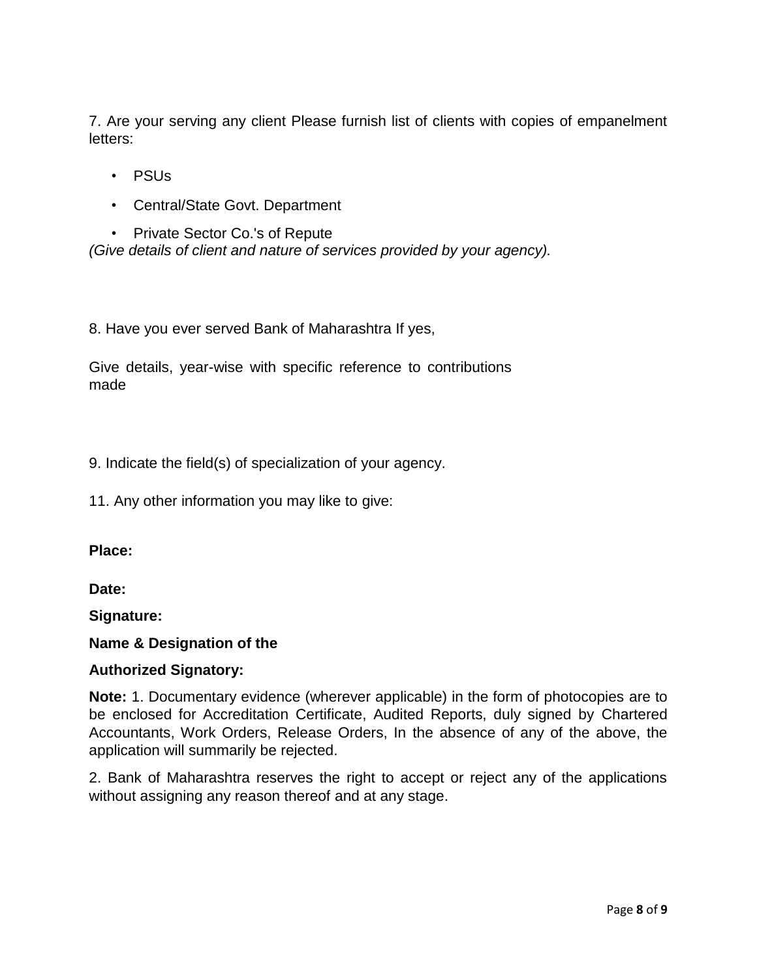7. Are your serving any client Please furnish list of clients with copies of empanelment letters:

- PSUs
- Central/State Govt. Department
- Private Sector Co.'s of Repute *(Give details of client and nature of services provided by your agency).*

8. Have you ever served Bank of Maharashtra If yes,

Give details, year-wise with specific reference to contributions made

9. Indicate the field(s) of specialization of your agency.

11. Any other information you may like to give:

**Place:**

**Date:**

**Signature:**

#### **Name & Designation of the**

#### **Authorized Signatory:**

**Note:** 1. Documentary evidence (wherever applicable) in the form of photocopies are to be enclosed for Accreditation Certificate, Audited Reports, duly signed by Chartered Accountants, Work Orders, Release Orders, In the absence of any of the above, the application will summarily be rejected.

2. Bank of Maharashtra reserves the right to accept or reject any of the applications without assigning any reason thereof and at any stage.